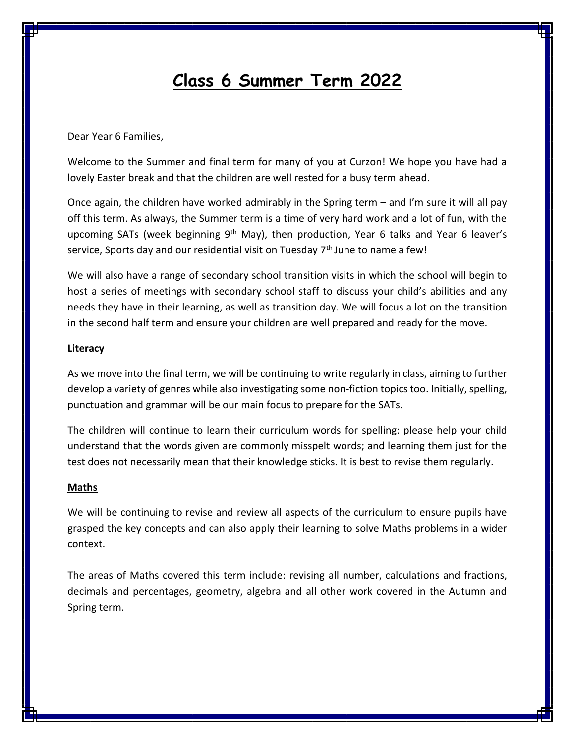# **Class 6 Summer Term 2022**

Dear Year 6 Families,

Welcome to the Summer and final term for many of you at Curzon! We hope you have had a lovely Easter break and that the children are well rested for a busy term ahead.

Once again, the children have worked admirably in the Spring term – and I'm sure it will all pay off this term. As always, the Summer term is a time of very hard work and a lot of fun, with the upcoming SATs (week beginning  $9<sup>th</sup>$  May), then production, Year 6 talks and Year 6 leaver's service, Sports day and our residential visit on Tuesday  $7<sup>th</sup>$  June to name a few!

We will also have a range of secondary school transition visits in which the school will begin to host a series of meetings with secondary school staff to discuss your child's abilities and any needs they have in their learning, as well as transition day. We will focus a lot on the transition in the second half term and ensure your children are well prepared and ready for the move.

#### **Literacy**

As we move into the final term, we will be continuing to write regularly in class, aiming to further develop a variety of genres while also investigating some non-fiction topics too. Initially, spelling, punctuation and grammar will be our main focus to prepare for the SATs.

The children will continue to learn their curriculum words for spelling: please help your child understand that the words given are commonly misspelt words; and learning them just for the test does not necessarily mean that their knowledge sticks. It is best to revise them regularly.

#### **Maths**

We will be continuing to revise and review all aspects of the curriculum to ensure pupils have grasped the key concepts and can also apply their learning to solve Maths problems in a wider context.

The areas of Maths covered this term include: revising all number, calculations and fractions, decimals and percentages, geometry, algebra and all other work covered in the Autumn and Spring term.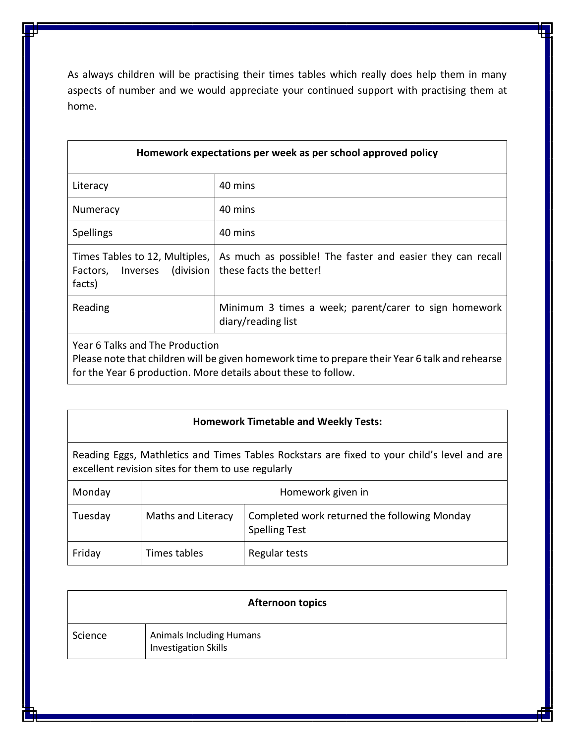As always children will be practising their times tables which really does help them in many aspects of number and we would appreciate your continued support with practising them at home.

### **Homework expectations per week as per school approved policy**

| Literacy                                                                    | 40 mins                                                                               |
|-----------------------------------------------------------------------------|---------------------------------------------------------------------------------------|
| Numeracy                                                                    | 40 mins                                                                               |
| <b>Spellings</b>                                                            | 40 mins                                                                               |
| Times Tables to 12, Multiples,<br>(division)<br>Factors, Inverses<br>facts) | As much as possible! The faster and easier they can recall<br>these facts the better! |
| Reading                                                                     | Minimum 3 times a week; parent/carer to sign homework<br>diary/reading list           |
| .                                                                           |                                                                                       |

Year 6 Talks and The Production

Please note that children will be given homework time to prepare their Year 6 talk and rehearse for the Year 6 production. More details about these to follow.

Reading Eggs, Mathletics and Times Tables Rockstars are fixed to your child's level and are excellent revision sites for them to use regularly

| Monday  |                    | Homework given in                                                    |
|---------|--------------------|----------------------------------------------------------------------|
| Tuesday | Maths and Literacy | Completed work returned the following Monday<br><b>Spelling Test</b> |
| Friday  | Times tables       | Regular tests                                                        |

|         | <b>Afternoon topics</b>                                 |
|---------|---------------------------------------------------------|
| Science | <b>Animals Including Humans</b><br>Investigation Skills |